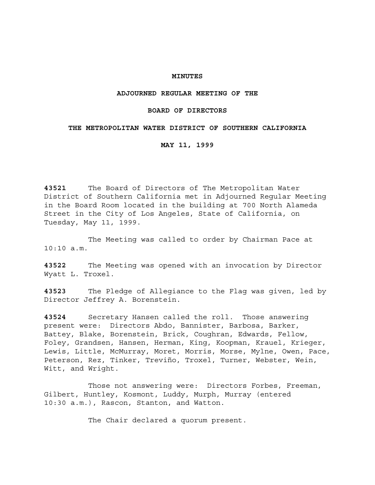### **MINUTES**

### **ADJOURNED REGULAR MEETING OF THE**

## **BOARD OF DIRECTORS**

### **THE METROPOLITAN WATER DISTRICT OF SOUTHERN CALIFORNIA**

### **MAY 11, 1999**

**43521** The Board of Directors of The Metropolitan Water District of Southern California met in Adjourned Regular Meeting in the Board Room located in the building at 700 North Alameda Street in the City of Los Angeles, State of California, on Tuesday, May 11, 1999.

The Meeting was called to order by Chairman Pace at 10:10 a.m.

**43522** The Meeting was opened with an invocation by Director Wyatt L. Troxel.

**43523** The Pledge of Allegiance to the Flag was given, led by Director Jeffrey A. Borenstein.

**43524** Secretary Hansen called the roll. Those answering present were: Directors Abdo, Bannister, Barbosa, Barker, Battey, Blake, Borenstein, Brick, Coughran, Edwards, Fellow, Foley, Grandsen, Hansen, Herman, King, Koopman, Krauel, Krieger, Lewis, Little, McMurray, Moret, Morris, Morse, Mylne, Owen, Pace, Peterson, Rez, Tinker, Treviño, Troxel, Turner, Webster, Wein, Witt, and Wright.

Those not answering were: Directors Forbes, Freeman, Gilbert, Huntley, Kosmont, Luddy, Murph, Murray (entered 10:30 a.m.), Rascon, Stanton, and Watton.

The Chair declared a quorum present.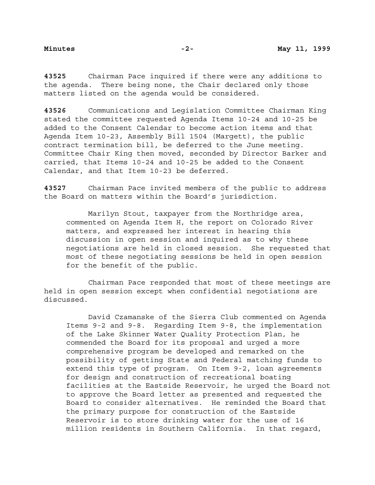**43525** Chairman Pace inquired if there were any additions to the agenda. There being none, the Chair declared only those matters listed on the agenda would be considered.

**43526** Communications and Legislation Committee Chairman King stated the committee requested Agenda Items 10-24 and 10-25 be added to the Consent Calendar to become action items and that Agenda Item 10-23, Assembly Bill 1504 (Margett), the public contract termination bill, be deferred to the June meeting. Committee Chair King then moved, seconded by Director Barker and carried, that Items 10-24 and 10-25 be added to the Consent Calendar, and that Item 10-23 be deferred.

**43527** Chairman Pace invited members of the public to address the Board on matters within the Board's jurisdiction.

Marilyn Stout, taxpayer from the Northridge area, commented on Agenda Item H, the report on Colorado River matters, and expressed her interest in hearing this discussion in open session and inquired as to why these negotiations are held in closed session. She requested that most of these negotiating sessions be held in open session for the benefit of the public.

Chairman Pace responded that most of these meetings are held in open session except when confidential negotiations are discussed.

David Czamanske of the Sierra Club commented on Agenda Items 9-2 and 9-8. Regarding Item 9-8, the implementation of the Lake Skinner Water Quality Protection Plan, he commended the Board for its proposal and urged a more comprehensive program be developed and remarked on the possibility of getting State and Federal matching funds to extend this type of program. On Item 9-2, loan agreements for design and construction of recreational boating facilities at the Eastside Reservoir, he urged the Board not to approve the Board letter as presented and requested the Board to consider alternatives. He reminded the Board that the primary purpose for construction of the Eastside Reservoir is to store drinking water for the use of 16 million residents in Southern California. In that regard,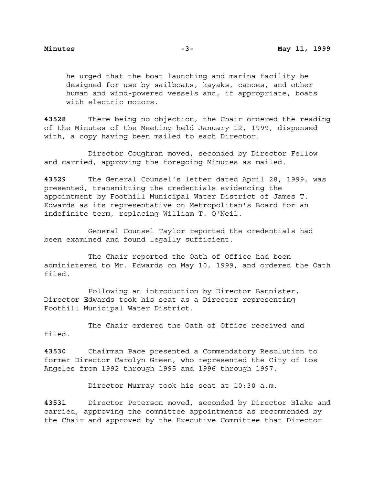he urged that the boat launching and marina facility be designed for use by sailboats, kayaks, canoes, and other human and wind-powered vessels and, if appropriate, boats with electric motors.

**43528** There being no objection, the Chair ordered the reading of the Minutes of the Meeting held January 12, 1999, dispensed with, a copy having been mailed to each Director.

Director Coughran moved, seconded by Director Fellow and carried, approving the foregoing Minutes as mailed.

**43529** The General Counsel's letter dated April 28, 1999, was presented, transmitting the credentials evidencing the appointment by Foothill Municipal Water District of James T. Edwards as its representative on Metropolitan's Board for an indefinite term, replacing William T. O'Neil.

General Counsel Taylor reported the credentials had been examined and found legally sufficient.

The Chair reported the Oath of Office had been administered to Mr. Edwards on May 10, 1999, and ordered the Oath filed.

Following an introduction by Director Bannister, Director Edwards took his seat as a Director representing Foothill Municipal Water District.

The Chair ordered the Oath of Office received and filed.

**43530** Chairman Pace presented a Commendatory Resolution to former Director Carolyn Green, who represented the City of Los Angeles from 1992 through 1995 and 1996 through 1997.

Director Murray took his seat at 10:30 a.m.

**43531** Director Peterson moved, seconded by Director Blake and carried, approving the committee appointments as recommended by the Chair and approved by the Executive Committee that Director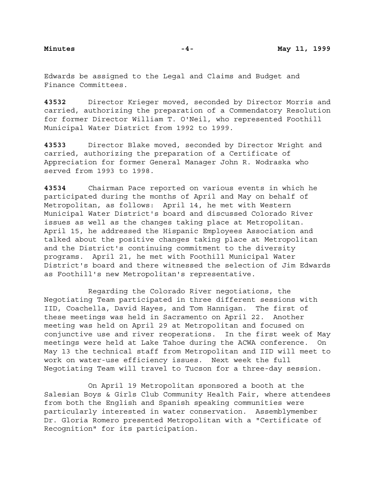Edwards be assigned to the Legal and Claims and Budget and Finance Committees.

**43532** Director Krieger moved, seconded by Director Morris and carried, authorizing the preparation of a Commendatory Resolution for former Director William T. O'Neil, who represented Foothill Municipal Water District from 1992 to 1999.

**43533** Director Blake moved, seconded by Director Wright and carried, authorizing the preparation of a Certificate of Appreciation for former General Manager John R. Wodraska who served from 1993 to 1998.

**43534** Chairman Pace reported on various events in which he participated during the months of April and May on behalf of Metropolitan, as follows: April 14, he met with Western Municipal Water District's board and discussed Colorado River issues as well as the changes taking place at Metropolitan. April 15, he addressed the Hispanic Employees Association and talked about the positive changes taking place at Metropolitan and the District's continuing commitment to the diversity programs. April 21, he met with Foothill Municipal Water District's board and there witnessed the selection of Jim Edwards as Foothill's new Metropolitan's representative.

Regarding the Colorado River negotiations, the Negotiating Team participated in three different sessions with IID, Coachella, David Hayes, and Tom Hannigan. The first of these meetings was held in Sacramento on April 22. Another meeting was held on April 29 at Metropolitan and focused on conjunctive use and river reoperations. In the first week of May meetings were held at Lake Tahoe during the ACWA conference. On May 13 the technical staff from Metropolitan and IID will meet to work on water-use efficiency issues. Next week the full Negotiating Team will travel to Tucson for a three-day session.

On April 19 Metropolitan sponsored a booth at the Salesian Boys & Girls Club Community Health Fair, where attendees from both the English and Spanish speaking communities were particularly interested in water conservation. Assemblymember Dr. Gloria Romero presented Metropolitan with a "Certificate of Recognition" for its participation.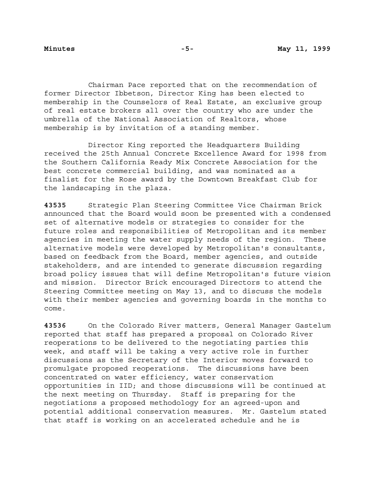Chairman Pace reported that on the recommendation of former Director Ibbetson, Director King has been elected to membership in the Counselors of Real Estate, an exclusive group of real estate brokers all over the country who are under the umbrella of the National Association of Realtors, whose membership is by invitation of a standing member.

Director King reported the Headquarters Building received the 25th Annual Concrete Excellence Award for 1998 from the Southern California Ready Mix Concrete Association for the best concrete commercial building, and was nominated as a finalist for the Rose award by the Downtown Breakfast Club for the landscaping in the plaza.

**43535** Strategic Plan Steering Committee Vice Chairman Brick announced that the Board would soon be presented with a condensed set of alternative models or strategies to consider for the future roles and responsibilities of Metropolitan and its member agencies in meeting the water supply needs of the region. These alternative models were developed by Metropolitan's consultants, based on feedback from the Board, member agencies, and outside stakeholders, and are intended to generate discussion regarding broad policy issues that will define Metropolitan's future vision and mission. Director Brick encouraged Directors to attend the Steering Committee meeting on May 13, and to discuss the models with their member agencies and governing boards in the months to come.

**43536** On the Colorado River matters, General Manager Gastelum reported that staff has prepared a proposal on Colorado River reoperations to be delivered to the negotiating parties this week, and staff will be taking a very active role in further discussions as the Secretary of the Interior moves forward to promulgate proposed reoperations. The discussions have been concentrated on water efficiency, water conservation opportunities in IID; and those discussions will be continued at the next meeting on Thursday. Staff is preparing for the negotiations a proposed methodology for an agreed-upon and potential additional conservation measures. Mr. Gastelum stated that staff is working on an accelerated schedule and he is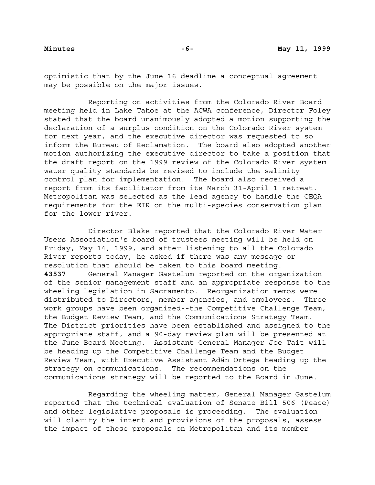optimistic that by the June 16 deadline a conceptual agreement may be possible on the major issues.

Reporting on activities from the Colorado River Board meeting held in Lake Tahoe at the ACWA conference, Director Foley stated that the board unanimously adopted a motion supporting the declaration of a surplus condition on the Colorado River system for next year, and the executive director was requested to so inform the Bureau of Reclamation. The board also adopted another motion authorizing the executive director to take a position that the draft report on the 1999 review of the Colorado River system water quality standards be revised to include the salinity control plan for implementation. The board also received a report from its facilitator from its March 31-April 1 retreat. Metropolitan was selected as the lead agency to handle the CEQA requirements for the EIR on the multi-species conservation plan for the lower river.

Director Blake reported that the Colorado River Water Users Association's board of trustees meeting will be held on Friday, May 14, 1999, and after listening to all the Colorado River reports today, he asked if there was any message or resolution that should be taken to this board meeting. **43537** General Manager Gastelum reported on the organization of the senior management staff and an appropriate response to the wheeling legislation in Sacramento. Reorganization memos were distributed to Directors, member agencies, and employees. Three work groups have been organized--the Competitive Challenge Team, the Budget Review Team, and the Communications Strategy Team. The District priorities have been established and assigned to the appropriate staff, and a 90-day review plan will be presented at the June Board Meeting. Assistant General Manager Joe Tait will be heading up the Competitive Challenge Team and the Budget Review Team, with Executive Assistant Adán Ortega heading up the strategy on communications. The recommendations on the communications strategy will be reported to the Board in June.

Regarding the wheeling matter, General Manager Gastelum reported that the technical evaluation of Senate Bill 506 (Peace) and other legislative proposals is proceeding. The evaluation will clarify the intent and provisions of the proposals, assess the impact of these proposals on Metropolitan and its member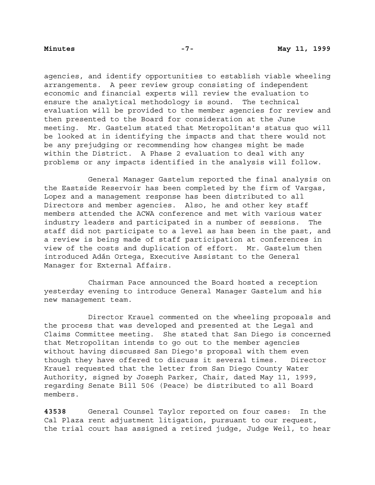agencies, and identify opportunities to establish viable wheeling arrangements. A peer review group consisting of independent economic and financial experts will review the evaluation to ensure the analytical methodology is sound. The technical evaluation will be provided to the member agencies for review and then presented to the Board for consideration at the June meeting. Mr. Gastelum stated that Metropolitan's status quo will be looked at in identifying the impacts and that there would not be any prejudging or recommending how changes might be made within the District. A Phase 2 evaluation to deal with any problems or any impacts identified in the analysis will follow.

General Manager Gastelum reported the final analysis on the Eastside Reservoir has been completed by the firm of Vargas, Lopez and a management response has been distributed to all Directors and member agencies. Also, he and other key staff members attended the ACWA conference and met with various water industry leaders and participated in a number of sessions. The staff did not participate to a level as has been in the past, and a review is being made of staff participation at conferences in view of the costs and duplication of effort. Mr. Gastelum then introduced Adán Ortega, Executive Assistant to the General Manager for External Affairs.

Chairman Pace announced the Board hosted a reception yesterday evening to introduce General Manager Gastelum and his new management team.

Director Krauel commented on the wheeling proposals and the process that was developed and presented at the Legal and Claims Committee meeting. She stated that San Diego is concerned that Metropolitan intends to go out to the member agencies without having discussed San Diego's proposal with them even though they have offered to discuss it several times. Director Krauel requested that the letter from San Diego County Water Authority, signed by Joseph Parker, Chair, dated May 11, 1999, regarding Senate Bill 506 (Peace) be distributed to all Board members.

**43538** General Counsel Taylor reported on four cases: In the Cal Plaza rent adjustment litigation, pursuant to our request, the trial court has assigned a retired judge, Judge Weil, to hear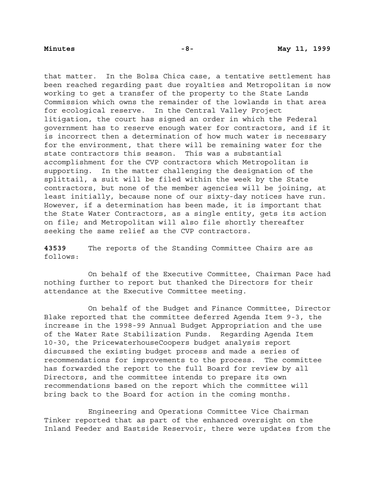that matter. In the Bolsa Chica case, a tentative settlement has been reached regarding past due royalties and Metropolitan is now working to get a transfer of the property to the State Lands Commission which owns the remainder of the lowlands in that area for ecological reserve. In the Central Valley Project litigation, the court has signed an order in which the Federal government has to reserve enough water for contractors, and if it is incorrect then a determination of how much water is necessary for the environment, that there will be remaining water for the state contractors this season. This was a substantial accomplishment for the CVP contractors which Metropolitan is supporting. In the matter challenging the designation of the splittail, a suit will be filed within the week by the State contractors, but none of the member agencies will be joining, at least initially, because none of our sixty-day notices have run. However, if a determination has been made, it is important that the State Water Contractors, as a single entity, gets its action on file; and Metropolitan will also file shortly thereafter seeking the same relief as the CVP contractors.

**43539** The reports of the Standing Committee Chairs are as follows:

On behalf of the Executive Committee, Chairman Pace had nothing further to report but thanked the Directors for their attendance at the Executive Committee meeting.

On behalf of the Budget and Finance Committee, Director Blake reported that the committee deferred Agenda Item 9-3, the increase in the 1998-99 Annual Budget Appropriation and the use of the Water Rate Stabilization Funds. Regarding Agenda Item 10-30, the PricewaterhouseCoopers budget analysis report discussed the existing budget process and made a series of recommendations for improvements to the process. The committee has forwarded the report to the full Board for review by all Directors, and the committee intends to prepare its own recommendations based on the report which the committee will bring back to the Board for action in the coming months.

Engineering and Operations Committee Vice Chairman Tinker reported that as part of the enhanced oversight on the Inland Feeder and Eastside Reservoir, there were updates from the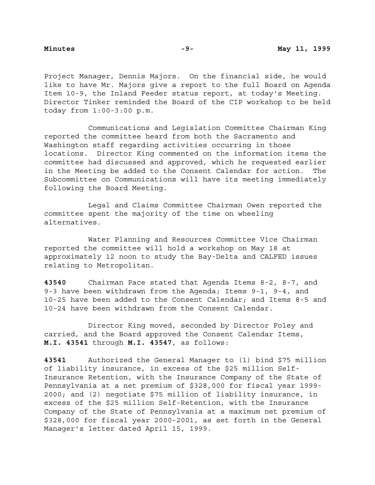Project Manager, Dennis Majors. On the financial side, he would like to have Mr. Majors give a report to the full Board on Agenda Item 10-9, the Inland Feeder status report, at today's Meeting. Director Tinker reminded the Board of the CIP workshop to be held today from 1:00-3:00 p.m.

Communications and Legislation Committee Chairman King reported the committee heard from both the Sacramento and Washington staff regarding activities occurring in those locations. Director King commented on the information items the committee had discussed and approved, which he requested earlier in the Meeting be added to the Consent Calendar for action. The Subcommittee on Communications will have its meeting immediately following the Board Meeting.

Legal and Claims Committee Chairman Owen reported the committee spent the majority of the time on wheeling alternatives.

Water Planning and Resources Committee Vice Chairman reported the committee will hold a workshop on May 18 at approximately 12 noon to study the Bay-Delta and CALFED issues relating to Metropolitan.

**43540** Chairman Pace stated that Agenda Items 8-2, 8-7, and 9-3 have been withdrawn from the Agenda; Items 9-1, 9-4, and 10-25 have been added to the Consent Calendar; and Items 8-5 and 10-24 have been withdrawn from the Consent Calendar.

Director King moved, seconded by Director Foley and carried, and the Board approved the Consent Calendar Items, **M.I. 43541** through **M.I. 43547**, as follows:

**43541** Authorized the General Manager to (1) bind \$75 million of liability insurance, in excess of the \$25 million Self-Insurance Retention, with the Insurance Company of the State of Pennsylvania at a net premium of \$328,000 for fiscal year 1999- 2000; and (2) negotiate \$75 million of liability insurance, in excess of the \$25 million Self-Retention, with the Insurance Company of the State of Pennsylvania at a maximum net premium of \$328,000 for fiscal year 2000-2001, as set forth in the General Manager's letter dated April 15, 1999.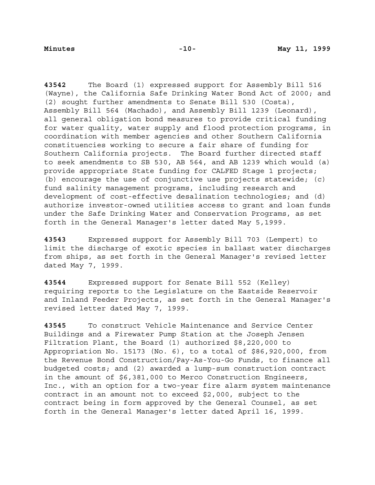**43542** The Board (1) expressed support for Assembly Bill 516 (Wayne), the California Safe Drinking Water Bond Act of 2000; and (2) sought further amendments to Senate Bill 530 (Costa), Assembly Bill 564 (Machado), and Assembly Bill 1239 (Leonard), all general obligation bond measures to provide critical funding for water quality, water supply and flood protection programs, in coordination with member agencies and other Southern California constituencies working to secure a fair share of funding for Southern California projects. The Board further directed staff to seek amendments to SB 530, AB 564, and AB 1239 which would (a) provide appropriate State funding for CALFED Stage 1 projects; (b) encourage the use of conjunctive use projects statewide; (c) fund salinity management programs, including research and development of cost-effective desalination technologies; and (d) authorize investor-owned utilities access to grant and loan funds under the Safe Drinking Water and Conservation Programs, as set forth in the General Manager's letter dated May 5,1999.

**43543** Expressed support for Assembly Bill 703 (Lempert) to limit the discharge of exotic species in ballast water discharges from ships, as set forth in the General Manager's revised letter dated May 7, 1999.

**43544** Expressed support for Senate Bill 552 (Kelley) requiring reports to the Legislature on the Eastside Reservoir and Inland Feeder Projects, as set forth in the General Manager's revised letter dated May 7, 1999.

**43545** To construct Vehicle Maintenance and Service Center Buildings and a Firewater Pump Station at the Joseph Jensen Filtration Plant, the Board (1) authorized \$8,220,000 to Appropriation No. 15173 (No. 6), to a total of \$86,920,000, from the Revenue Bond Construction/Pay-As-You-Go Funds, to finance all budgeted costs; and (2) awarded a lump-sum construction contract in the amount of \$6,381,000 to Merco Construction Engineers, Inc., with an option for a two-year fire alarm system maintenance contract in an amount not to exceed \$2,000, subject to the contract being in form approved by the General Counsel, as set forth in the General Manager's letter dated April 16, 1999.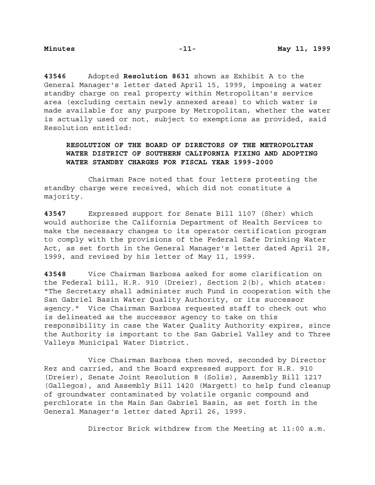**43546** Adopted **Resolution 8631** shown as Exhibit A to the General Manager's letter dated April 15, 1999, imposing a water standby charge on real property within Metropolitan's service area (excluding certain newly annexed areas) to which water is made available for any purpose by Metropolitan, whether the water is actually used or not, subject to exemptions as provided, said Resolution entitled:

# **RESOLUTION OF THE BOARD OF DIRECTORS OF THE METROPOLITAN WATER DISTRICT OF SOUTHERN CALIFORNIA FIXING AND ADOPTING WATER STANDBY CHARGES FOR FISCAL YEAR 1999-2000**

Chairman Pace noted that four letters protesting the standby charge were received, which did not constitute a majority.

**43547** Expressed support for Senate Bill 1107 (Sher) which would authorize the California Department of Health Services to make the necessary changes to its operator certification program to comply with the provisions of the Federal Safe Drinking Water Act, as set forth in the General Manager's letter dated April 28, 1999, and revised by his letter of May 11, 1999.

**43548** Vice Chairman Barbosa asked for some clarification on the Federal bill, H.R. 910 (Dreier), Section 2(b), which states: "The Secretary shall administer such Fund in cooperation with the San Gabriel Basin Water Quality Authority, or its successor agency." Vice Chairman Barbosa requested staff to check out who is delineated as the successor agency to take on this responsibility in case the Water Quality Authority expires, since the Authority is important to the San Gabriel Valley and to Three Valleys Municipal Water District.

Vice Chairman Barbosa then moved, seconded by Director Rez and carried, and the Board expressed support for H.R. 910 (Dreier), Senate Joint Resolution 8 (Solis), Assembly Bill 1217 (Gallegos), and Assembly Bill 1420 (Margett) to help fund cleanup of groundwater contaminated by volatile organic compound and perchlorate in the Main San Gabriel Basin, as set forth in the General Manager's letter dated April 26, 1999.

Director Brick withdrew from the Meeting at 11:00 a.m.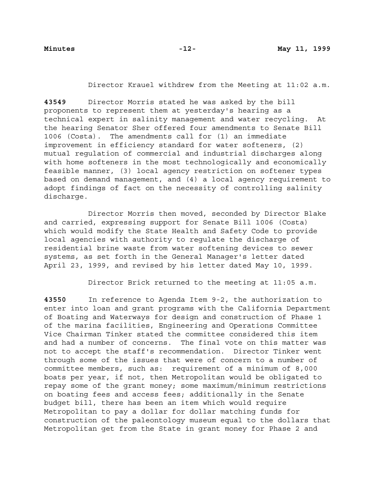Director Krauel withdrew from the Meeting at 11:02 a.m.

**43549** Director Morris stated he was asked by the bill proponents to represent them at yesterday's hearing as a technical expert in salinity management and water recycling. At the hearing Senator Sher offered four amendments to Senate Bill 1006 (Costa). The amendments call for (1) an immediate improvement in efficiency standard for water softeners, (2) mutual regulation of commercial and industrial discharges along with home softeners in the most technologically and economically feasible manner, (3) local agency restriction on softener types based on demand management, and (4) a local agency requirement to adopt findings of fact on the necessity of controlling salinity discharge.

Director Morris then moved, seconded by Director Blake and carried, expressing support for Senate Bill 1006 (Costa) which would modify the State Health and Safety Code to provide local agencies with authority to regulate the discharge of residential brine waste from water softening devices to sewer systems, as set forth in the General Manager's letter dated April 23, 1999, and revised by his letter dated May 10, 1999.

Director Brick returned to the meeting at 11:05 a.m.

**43550** In reference to Agenda Item 9-2, the authorization to enter into loan and grant programs with the California Department of Boating and Waterways for design and construction of Phase 1 of the marina facilities, Engineering and Operations Committee Vice Chairman Tinker stated the committee considered this item and had a number of concerns. The final vote on this matter was not to accept the staff's recommendation. Director Tinker went through some of the issues that were of concern to a number of committee members, such as: requirement of a minimum of 8,000 boats per year, if not, then Metropolitan would be obligated to repay some of the grant money; some maximum/minimum restrictions on boating fees and access fees; additionally in the Senate budget bill, there has been an item which would require Metropolitan to pay a dollar for dollar matching funds for construction of the paleontology museum equal to the dollars that Metropolitan get from the State in grant money for Phase 2 and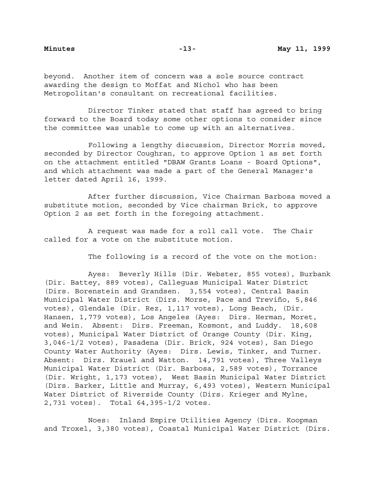beyond. Another item of concern was a sole source contract awarding the design to Moffat and Nichol who has been Metropolitan's consultant on recreational facilities.

Director Tinker stated that staff has agreed to bring forward to the Board today some other options to consider since the committee was unable to come up with an alternatives.

Following a lengthy discussion, Director Morris moved, seconded by Director Coughran, to approve Option 1 as set forth on the attachment entitled "DBAW Grants Loans - Board Options", and which attachment was made a part of the General Manager's letter dated April 16, 1999.

After further discussion, Vice Chairman Barbosa moved a substitute motion, seconded by Vice chairman Brick, to approve Option 2 as set forth in the foregoing attachment.

A request was made for a roll call vote. The Chair called for a vote on the substitute motion.

The following is a record of the vote on the motion:

Ayes: Beverly Hills (Dir. Webster, 855 votes), Burbank (Dir. Battey, 889 votes), Calleguas Municipal Water District (Dirs. Borenstein and Grandsen. 3,554 votes), Central Basin Municipal Water District (Dirs. Morse, Pace and Treviño, 5,846 votes), Glendale (Dir. Rez, 1,117 votes), Long Beach, (Dir. Hansen, 1,779 votes), Los Angeles (Ayes: Dirs. Herman, Moret, and Wein. Absent: Dirs. Freeman, Kosmont, and Luddy. 18,608 votes), Municipal Water District of Orange County (Dir. King, 3,046-1/2 votes), Pasadena (Dir. Brick, 924 votes), San Diego County Water Authority (Ayes: Dirs. Lewis, Tinker, and Turner. Absent: Dirs. Krauel and Watton. 14,791 votes), Three Valleys Municipal Water District (Dir. Barbosa, 2,589 votes), Torrance (Dir. Wright, 1,173 votes), West Basin Municipal Water District (Dirs. Barker, Little and Murray, 6,493 votes), Western Municipal Water District of Riverside County (Dirs. Krieger and Mylne, 2,731 votes). Total 64,395-1/2 votes.

Noes: Inland Empire Utilities Agency (Dirs. Koopman and Troxel, 3,380 votes), Coastal Municipal Water District (Dirs.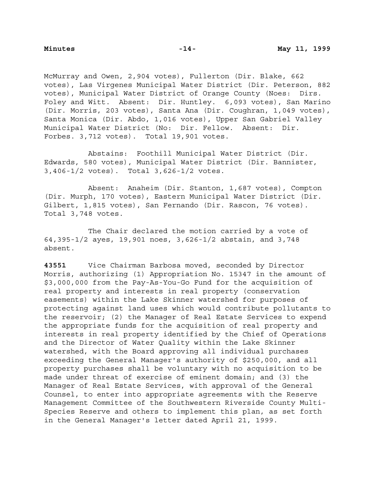McMurray and Owen, 2,904 votes), Fullerton (Dir. Blake, 662 votes), Las Virgenes Municipal Water District (Dir. Peterson, 882 votes), Municipal Water District of Orange County (Noes: Dirs. Foley and Witt. Absent: Dir. Huntley. 6,093 votes), San Marino (Dir. Morris, 203 votes), Santa Ana (Dir. Coughran, 1,049 votes), Santa Monica (Dir. Abdo, 1,016 votes), Upper San Gabriel Valley Municipal Water District (No: Dir. Fellow. Absent: Dir. Forbes. 3,712 votes). Total 19,901 votes.

Abstains: Foothill Municipal Water District (Dir. Edwards, 580 votes), Municipal Water District (Dir. Bannister, 3,406-1/2 votes). Total 3,626-1/2 votes.

Absent: Anaheim (Dir. Stanton, 1,687 votes), Compton (Dir. Murph, 170 votes), Eastern Municipal Water District (Dir. Gilbert, 1,815 votes), San Fernando (Dir. Rascon, 76 votes). Total 3,748 votes.

The Chair declared the motion carried by a vote of 64,395-1/2 ayes, 19,901 noes, 3,626-1/2 abstain, and 3,748 absent.

**43551** Vice Chairman Barbosa moved, seconded by Director Morris, authorizing (1) Appropriation No. 15347 in the amount of \$3,000,000 from the Pay-As-You-Go Fund for the acquisition of real property and interests in real property (conservation easements) within the Lake Skinner watershed for purposes of protecting against land uses which would contribute pollutants to the reservoir; (2) the Manager of Real Estate Services to expend the appropriate funds for the acquisition of real property and interests in real property identified by the Chief of Operations and the Director of Water Quality within the Lake Skinner watershed, with the Board approving all individual purchases exceeding the General Manager's authority of \$250,000, and all property purchases shall be voluntary with no acquisition to be made under threat of exercise of eminent domain; and (3) the Manager of Real Estate Services, with approval of the General Counsel, to enter into appropriate agreements with the Reserve Management Committee of the Southwestern Riverside County Multi-Species Reserve and others to implement this plan, as set forth in the General Manager's letter dated April 21, 1999.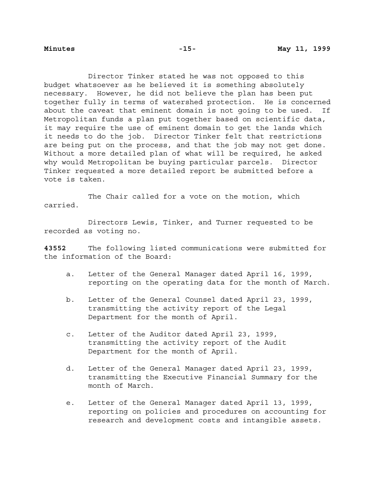Director Tinker stated he was not opposed to this budget whatsoever as he believed it is something absolutely necessary. However, he did not believe the plan has been put together fully in terms of watershed protection. He is concerned about the caveat that eminent domain is not going to be used. If Metropolitan funds a plan put together based on scientific data, it may require the use of eminent domain to get the lands which it needs to do the job. Director Tinker felt that restrictions are being put on the process, and that the job may not get done. Without a more detailed plan of what will be required, he asked why would Metropolitan be buying particular parcels. Director Tinker requested a more detailed report be submitted before a vote is taken.

The Chair called for a vote on the motion, which carried.

Directors Lewis, Tinker, and Turner requested to be recorded as voting no.

**43552** The following listed communications were submitted for the information of the Board:

- a. Letter of the General Manager dated April 16, 1999, reporting on the operating data for the month of March.
- b. Letter of the General Counsel dated April 23, 1999, transmitting the activity report of the Legal Department for the month of April.
- c. Letter of the Auditor dated April 23, 1999, transmitting the activity report of the Audit Department for the month of April.
- d. Letter of the General Manager dated April 23, 1999, transmitting the Executive Financial Summary for the month of March.
- e. Letter of the General Manager dated April 13, 1999, reporting on policies and procedures on accounting for research and development costs and intangible assets.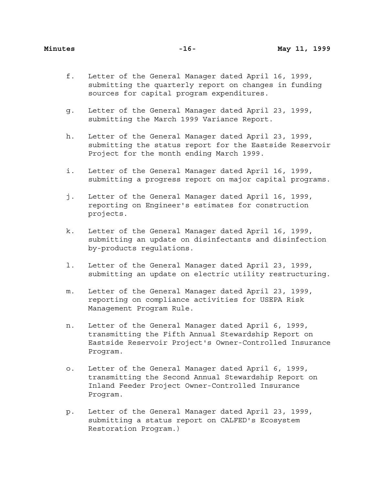- f. Letter of the General Manager dated April 16, 1999, submitting the quarterly report on changes in funding sources for capital program expenditures.
- g. Letter of the General Manager dated April 23, 1999, submitting the March 1999 Variance Report.
- h. Letter of the General Manager dated April 23, 1999, submitting the status report for the Eastside Reservoir Project for the month ending March 1999.
- i. Letter of the General Manager dated April 16, 1999, submitting a progress report on major capital programs.
- j. Letter of the General Manager dated April 16, 1999, reporting on Engineer's estimates for construction projects.
- k. Letter of the General Manager dated April 16, 1999, submitting an update on disinfectants and disinfection by-products regulations.
- l. Letter of the General Manager dated April 23, 1999, submitting an update on electric utility restructuring.
- m. Letter of the General Manager dated April 23, 1999, reporting on compliance activities for USEPA Risk Management Program Rule.
- n. Letter of the General Manager dated April 6, 1999, transmitting the Fifth Annual Stewardship Report on Eastside Reservoir Project's Owner-Controlled Insurance Program.
- o. Letter of the General Manager dated April 6, 1999, transmitting the Second Annual Stewardship Report on Inland Feeder Project Owner-Controlled Insurance Program.
- p. Letter of the General Manager dated April 23, 1999, submitting a status report on CALFED's Ecosystem Restoration Program.)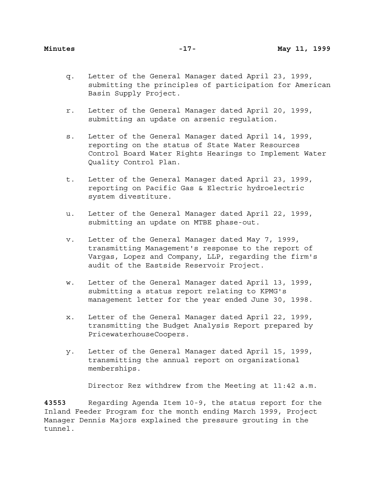- q. Letter of the General Manager dated April 23, 1999, submitting the principles of participation for American Basin Supply Project.
- r. Letter of the General Manager dated April 20, 1999, submitting an update on arsenic regulation.
- s. Letter of the General Manager dated April 14, 1999, reporting on the status of State Water Resources Control Board Water Rights Hearings to Implement Water Quality Control Plan.
- t. Letter of the General Manager dated April 23, 1999, reporting on Pacific Gas & Electric hydroelectric system divestiture.
- u. Letter of the General Manager dated April 22, 1999, submitting an update on MTBE phase-out.
- v. Letter of the General Manager dated May 7, 1999, transmitting Management's response to the report of Vargas, Lopez and Company, LLP, regarding the firm's audit of the Eastside Reservoir Project.
- w. Letter of the General Manager dated April 13, 1999, submitting a status report relating to KPMG's management letter for the year ended June 30, 1998.
- x. Letter of the General Manager dated April 22, 1999, transmitting the Budget Analysis Report prepared by PricewaterhouseCoopers.
- y. Letter of the General Manager dated April 15, 1999, transmitting the annual report on organizational memberships.

Director Rez withdrew from the Meeting at 11:42 a.m.

**43553** Regarding Agenda Item 10-9, the status report for the Inland Feeder Program for the month ending March 1999, Project Manager Dennis Majors explained the pressure grouting in the tunnel.